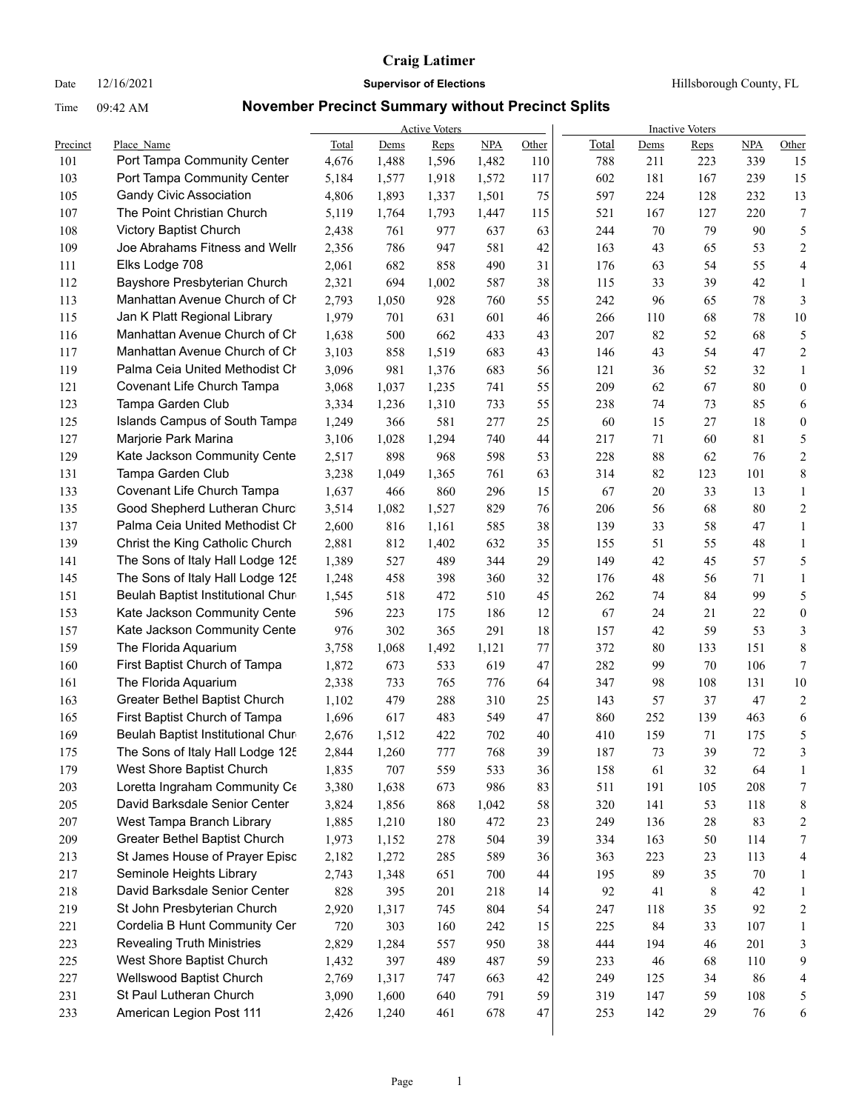|          |                                                              |              |       | <b>Active Voters</b> |            |       |       |      | <b>Inactive Voters</b> |        |                         |
|----------|--------------------------------------------------------------|--------------|-------|----------------------|------------|-------|-------|------|------------------------|--------|-------------------------|
| Precinct | Place Name                                                   | <b>Total</b> | Dems  | Reps                 | <b>NPA</b> | Other | Total | Dems | <b>Reps</b>            | NPA    | Other                   |
| 101      | Port Tampa Community Center                                  | 4,676        | 1,488 | 1,596                | 1,482      | 110   | 788   | 211  | 223                    | 339    | 15                      |
| 103      | Port Tampa Community Center                                  | 5,184        | 1,577 | 1,918                | 1,572      | 117   | 602   | 181  | 167                    | 239    | 15                      |
| 105      | <b>Gandy Civic Association</b><br>The Point Christian Church | 4,806        | 1,893 | 1,337                | 1,501      | 75    | 597   | 224  | 128                    | 232    | 13                      |
| 107      |                                                              | 5,119        | 1,764 | 1,793                | 1,447      | 115   | 521   | 167  | 127                    | 220    | 7                       |
| 108      | Victory Baptist Church                                       | 2,438        | 761   | 977                  | 637        | 63    | 244   | 70   | 79                     | 90     | 5                       |
| 109      | Joe Abrahams Fitness and Wellr                               | 2,356        | 786   | 947                  | 581        | 42    | 163   | 43   | 65                     | 53     | 2                       |
| 111      | Elks Lodge 708                                               | 2,061        | 682   | 858                  | 490        | 31    | 176   | 63   | 54                     | 55     | 4                       |
| 112      | Bayshore Presbyterian Church                                 | 2,321        | 694   | 1,002                | 587        | 38    | 115   | 33   | 39                     | 42     | $\mathbf{1}$            |
| 113      | Manhattan Avenue Church of Ch                                | 2,793        | 1,050 | 928                  | 760        | 55    | 242   | 96   | 65                     | $78\,$ | 3                       |
| 115      | Jan K Platt Regional Library                                 | 1,979        | 701   | 631                  | 601        | 46    | 266   | 110  | 68                     | 78     | 10                      |
| 116      | Manhattan Avenue Church of Ch                                | 1,638        | 500   | 662                  | 433        | 43    | 207   | 82   | 52                     | 68     | 5                       |
| 117      | Manhattan Avenue Church of Ch                                | 3,103        | 858   | 1,519                | 683        | 43    | 146   | 43   | 54                     | 47     | 2                       |
| 119      | Palma Ceia United Methodist Ch                               | 3,096        | 981   | 1,376                | 683        | 56    | 121   | 36   | 52                     | 32     | $\mathbf{1}$            |
| 121      | Covenant Life Church Tampa                                   | 3,068        | 1,037 | 1,235                | 741        | 55    | 209   | 62   | 67                     | 80     | $\boldsymbol{0}$        |
| 123      | Tampa Garden Club                                            | 3,334        | 1,236 | 1,310                | 733        | 55    | 238   | 74   | 73                     | 85     | 6                       |
| 125      | <b>Islands Campus of South Tampa</b>                         | 1,249        | 366   | 581                  | 277        | 25    | 60    | 15   | 27                     | 18     | $\boldsymbol{0}$        |
| 127      | Marjorie Park Marina                                         | 3,106        | 1,028 | 1,294                | 740        | 44    | 217   | 71   | 60                     | 81     | 5                       |
| 129      | Kate Jackson Community Cente                                 | 2,517        | 898   | 968                  | 598        | 53    | 228   | 88   | 62                     | 76     | $\boldsymbol{2}$        |
| 131      | Tampa Garden Club                                            | 3,238        | 1,049 | 1,365                | 761        | 63    | 314   | 82   | 123                    | 101    | 8                       |
| 133      | Covenant Life Church Tampa                                   | 1,637        | 466   | 860                  | 296        | 15    | 67    | 20   | 33                     | 13     | $\mathbf{1}$            |
| 135      | Good Shepherd Lutheran Churc                                 | 3,514        | 1,082 | 1,527                | 829        | 76    | 206   | 56   | 68                     | 80     | $\overline{c}$          |
| 137      | Palma Ceia United Methodist Ch                               | 2,600        | 816   | 1,161                | 585        | 38    | 139   | 33   | 58                     | 47     | $\mathbf{1}$            |
| 139      | Christ the King Catholic Church                              | 2,881        | 812   | 1,402                | 632        | 35    | 155   | 51   | 55                     | 48     | $\mathbf{1}$            |
| 141      | The Sons of Italy Hall Lodge 125                             | 1,389        | 527   | 489                  | 344        | 29    | 149   | 42   | 45                     | 57     | 5                       |
| 145      | The Sons of Italy Hall Lodge 125                             | 1,248        | 458   | 398                  | 360        | 32    | 176   | 48   | 56                     | 71     | $\mathbf{1}$            |
| 151      | Beulah Baptist Institutional Chur                            | 1,545        | 518   | 472                  | 510        | 45    | 262   | 74   | 84                     | 99     | 5                       |
| 153      | Kate Jackson Community Cente                                 | 596          | 223   | 175                  | 186        | 12    | 67    | 24   | 21                     | 22     | $\boldsymbol{0}$        |
| 157      | Kate Jackson Community Cente                                 | 976          | 302   | 365                  | 291        | 18    | 157   | 42   | 59                     | 53     | 3                       |
| 159      | The Florida Aquarium                                         | 3,758        | 1,068 | 1,492                | 1,121      | 77    | 372   | 80   | 133                    | 151    | $\,$ $\,$               |
| 160      | First Baptist Church of Tampa                                | 1,872        | 673   | 533                  | 619        | 47    | 282   | 99   | 70                     | 106    | 7                       |
| 161      | The Florida Aquarium                                         | 2,338        | 733   | 765                  | 776        | 64    | 347   | 98   | 108                    | 131    | 10                      |
| 163      | Greater Bethel Baptist Church                                | 1,102        | 479   | 288                  | 310        | 25    | 143   | 57   | 37                     | 47     | $\overline{c}$          |
| 165      | First Baptist Church of Tampa                                | 1,696        | 617   | 483                  | 549        | 47    | 860   | 252  | 139                    | 463    | 6                       |
| 169      | Beulah Baptist Institutional Chur                            | 2,676        | 1,512 | 422                  | 702        | 40    | 410   | 159  | 71                     | 175    | 5                       |
| 175      | The Sons of Italy Hall Lodge 125                             | 2,844        | 1,260 | 777                  | 768        | 39    | 187   | 73   | 39                     | 72     | $\mathbf{3}$            |
| 179      | West Shore Baptist Church                                    | 1,835        | 707   | 559                  | 533        | 36    | 158   | 61   | 32                     | 64     | 1                       |
| 203      | Loretta Ingraham Community Ce                                | 3,380        | 1,638 | 673                  | 986        | 83    | 511   | 191  | 105                    | 208    | 7                       |
| 205      | David Barksdale Senior Center                                | 3,824        | 1,856 | 868                  | 1,042      | 58    | 320   | 141  | 53                     | 118    | 8                       |
| 207      | West Tampa Branch Library                                    | 1,885        | 1,210 | 180                  | 472        | 23    | 249   | 136  | 28                     | 83     | 2                       |
| 209      | Greater Bethel Baptist Church                                | 1,973        | 1,152 | 278                  | 504        | 39    | 334   | 163  | 50                     | 114    | 7                       |
| 213      | St James House of Prayer Episc                               | 2,182        | 1,272 | 285                  | 589        | 36    | 363   | 223  | 23                     | 113    | 4                       |
| 217      | Seminole Heights Library                                     | 2,743        | 1,348 | 651                  | 700        | 44    | 195   | 89   | 35                     | 70     | $\mathbf{1}$            |
| 218      | David Barksdale Senior Center                                | 828          | 395   | 201                  | 218        | 14    | 92    | 41   | 8                      | 42     | 1                       |
| 219      | St John Presbyterian Church                                  | 2,920        | 1,317 | 745                  | 804        | 54    | 247   | 118  | 35                     | 92     | $\overline{\mathbf{c}}$ |
| 221      | Cordelia B Hunt Community Cer                                | 720          | 303   | 160                  | 242        | 15    | 225   | 84   | 33                     | 107    | $\mathbf{1}$            |
| 223      | <b>Revealing Truth Ministries</b>                            | 2,829        | 1,284 | 557                  | 950        | 38    | 444   | 194  | 46                     | 201    | 3                       |
| 225      | West Shore Baptist Church                                    | 1,432        | 397   | 489                  | 487        | 59    | 233   | 46   | 68                     | 110    | 9                       |
| 227      | Wellswood Baptist Church                                     | 2,769        | 1,317 | 747                  | 663        | 42    | 249   | 125  | 34                     | 86     | 4                       |
| 231      | St Paul Lutheran Church                                      | 3,090        | 1,600 | 640                  | 791        | 59    | 319   | 147  | 59                     | 108    | 5                       |
| 233      | American Legion Post 111                                     | 2,426        | 1,240 | 461                  | 678        | 47    | 253   | 142  | 29                     | 76     | 6                       |
|          |                                                              |              |       |                      |            |       |       |      |                        |        |                         |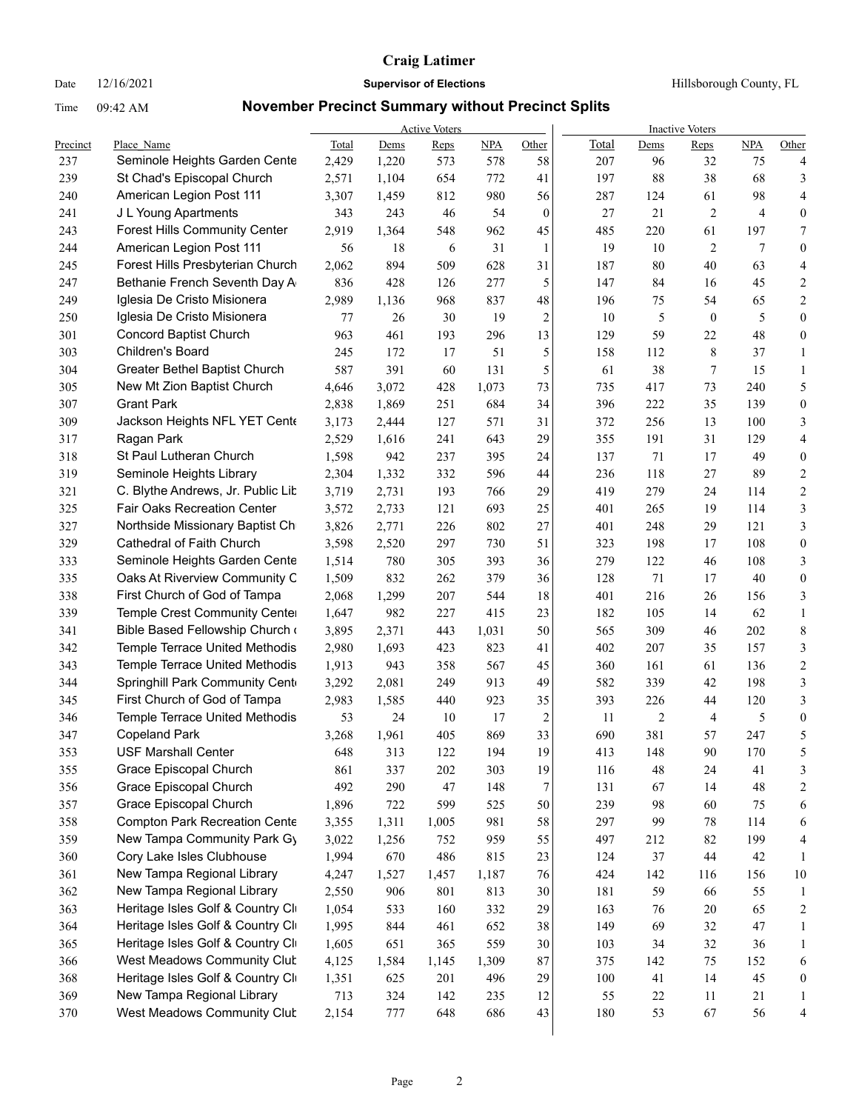Date  $12/16/2021$  **Supervisor of Elections Hillsborough County, FL** 

|            |                                                                  |                |              | <b>Active Voters</b> |              |                      |            |           | <b>Inactive Voters</b> |            |                         |
|------------|------------------------------------------------------------------|----------------|--------------|----------------------|--------------|----------------------|------------|-----------|------------------------|------------|-------------------------|
| Precinct   | Place Name                                                       | Total          | Dems         | Reps                 | NPA          | Other                | Total      | Dems      | <b>Reps</b>            | NPA        | Other                   |
| 237        | Seminole Heights Garden Cente                                    | 2,429          | 1,220        | 573                  | 578          | 58                   | 207        | 96        | 32                     | 75         | 4                       |
| 239        | St Chad's Episcopal Church                                       | 2,571          | 1,104        | 654                  | 772          | 41                   | 197        | 88        | 38                     | 68         | 3                       |
| 240<br>241 | American Legion Post 111                                         | 3,307          | 1,459<br>243 | 812                  | 980<br>54    | 56                   | 287<br>27  | 124<br>21 | 61<br>$\overline{2}$   | 98<br>4    | 4                       |
|            | J L Young Apartments                                             | 343            |              | 46                   |              | $\mathbf{0}$         |            |           |                        |            | 0                       |
| 243        | <b>Forest Hills Community Center</b>                             | 2,919          | 1,364        | 548                  | 962          | 45                   | 485        | 220       | 61                     | 197<br>7   | 7                       |
| 244        | American Legion Post 111                                         | 56             | 18           | 6                    | 31           | 1                    | 19         | 10        | $\overline{2}$         |            | $\boldsymbol{0}$        |
| 245        | Forest Hills Presbyterian Church                                 | 2,062          | 894          | 509                  | 628          | 31                   | 187        | 80        | 40                     | 63         | 4                       |
| 247        | Bethanie French Seventh Day A                                    | 836            | 428          | 126                  | 277          | 5                    | 147        | 84        | 16                     | 45         | 2                       |
| 249        | Iglesia De Cristo Misionera                                      | 2,989          | 1,136        | 968                  | 837          | 48                   | 196        | 75        | 54                     | 65         | 2                       |
| 250        | Iglesia De Cristo Misionera                                      | 77             | 26           | 30                   | 19           | $\overline{2}$       | 10         | 5         | $\mathbf{0}$           | 5          | $\boldsymbol{0}$        |
| 301        | <b>Concord Baptist Church</b><br>Children's Board                | 963            | 461          | 193                  | 296          | 13                   | 129        | 59        | 22                     | 48         | 0                       |
| 303        |                                                                  | 245            | 172          | 17                   | 51           | 5                    | 158        | 112       | 8                      | 37         | $\mathbf{1}$            |
| 304        | Greater Bethel Baptist Church                                    | 587            | 391          | 60                   | 131          | 5                    | 61         | 38        | 7                      | 15         | $\mathbf{1}$            |
| 305        | New Mt Zion Baptist Church<br><b>Grant Park</b>                  | 4,646          | 3,072        | 428                  | 1,073        | 73                   | 735        | 417       | 73                     | 240        | 5                       |
| 307        |                                                                  | 2,838          | 1,869        | 251                  | 684          | 34                   | 396        | 222       | 35                     | 139        | $\boldsymbol{0}$        |
| 309        | Jackson Heights NFL YET Cente                                    | 3,173          | 2,444        | 127                  | 571          | 31                   | 372        | 256       | 13                     | 100        | 3                       |
| 317        | Ragan Park                                                       | 2,529          | 1,616        | 241                  | 643          | 29                   | 355        | 191       | 31                     | 129        | 4                       |
| 318        | St Paul Lutheran Church                                          | 1,598          | 942          | 237                  | 395          | 24                   | 137        | 71        | 17                     | 49         | $\boldsymbol{0}$        |
| 319        | Seminole Heights Library                                         | 2,304          | 1,332        | 332                  | 596          | 44                   | 236        | 118       | 27                     | 89         | 2                       |
| 321        | C. Blythe Andrews, Jr. Public Lit                                | 3,719          | 2,731        | 193                  | 766          | 29                   | 419        | 279       | 24                     | 114        | 2                       |
| 325        | <b>Fair Oaks Recreation Center</b>                               | 3,572          | 2,733        | 121                  | 693          | 25                   | 401        | 265       | 19                     | 114        | 3                       |
| 327        | Northside Missionary Baptist Ch                                  | 3,826          | 2,771        | 226                  | 802          | 27                   | 401        | 248       | 29                     | 121        | 3                       |
| 329        | Cathedral of Faith Church                                        | 3,598          | 2,520        | 297                  | 730          | 51                   | 323        | 198       | 17                     | 108        | $\boldsymbol{0}$        |
| 333        | Seminole Heights Garden Cente                                    | 1,514          | 780          | 305                  | 393          | 36                   | 279        | 122       | 46                     | 108        | 3                       |
| 335        | Oaks At Riverview Community C                                    | 1,509          | 832          | 262                  | 379          | 36                   | 128        | 71        | 17                     | 40         | $\boldsymbol{0}$        |
| 338        | First Church of God of Tampa                                     | 2,068          | 1,299        | 207                  | 544          | 18                   | 401        | 216       | 26                     | 156        | 3                       |
| 339        | Temple Crest Community Cente                                     | 1,647          | 982          | 227                  | 415          | 23                   | 182        | 105       | 14                     | 62         | $\mathbf{1}$            |
| 341        | Bible Based Fellowship Church                                    | 3,895          | 2,371        | 443                  | 1,031        | 50                   | 565        | 309       | 46                     | 202        | $\,$ 8 $\,$             |
| 342        | Temple Terrace United Methodis                                   | 2,980          | 1,693        | 423                  | 823          | 41                   | 402        | 207       | 35                     | 157        | 3                       |
| 343        | Temple Terrace United Methodis                                   | 1,913          | 943          | 358                  | 567          | 45                   | 360        | 161       | 61                     | 136        | $\overline{c}$          |
| 344        | Springhill Park Community Cent<br>First Church of God of Tampa   | 3,292          | 2,081        | 249                  | 913          | 49                   | 582        | 339       | 42                     | 198        | 3                       |
| 345        |                                                                  | 2,983<br>53    | 1,585        | 440                  | 923          | 35                   | 393<br>11  | 226       | 44                     | 120        | 3                       |
| 346<br>347 | Temple Terrace United Methodis<br><b>Copeland Park</b>           |                | 24           | 10<br>405            | 17<br>869    | $\overline{c}$<br>33 | 690        | 2<br>381  | 4<br>57                | 5<br>247   | $\boldsymbol{0}$<br>5   |
|            |                                                                  | 3,268          | 1,961        |                      |              |                      |            |           |                        |            | 5                       |
| 353        | <b>USF Marshall Center</b>                                       | 648            | 313          | 122                  | 194          | 19                   | 413        | 148       | 90                     | 170        |                         |
| 355        | Grace Episcopal Church<br>Grace Episcopal Church                 | 861<br>492     | 337          | 202<br>47            | 303          | 19                   | 116        | 48        | 24<br>14               | 41<br>48   | 3                       |
| 356        | Grace Episcopal Church                                           |                | 290          |                      | 148          | 7                    | 131        | 67        |                        |            | 2                       |
| 357        | <b>Compton Park Recreation Cente</b>                             | 1,896          | 722          | 599                  | 525          | 50                   | 239        | 98        | 60                     | 75         | 6                       |
| 358<br>359 | New Tampa Community Park Gy                                      | 3,355<br>3,022 | 1,311        | 1,005                | 981          | 58<br>55             | 297        | 99        | 78                     | 114<br>199 | 6                       |
|            | Cory Lake Isles Clubhouse                                        |                | 1,256        | 752                  | 959          |                      | 497        | 212<br>37 | 82<br>44               | 42         | 4                       |
| 360        | New Tampa Regional Library                                       | 1,994          | 670          | 486                  | 815          | 23                   | 124        |           |                        |            | 1                       |
| 361<br>362 | New Tampa Regional Library                                       | 4,247          | 1,527        | 1,457                | 1,187        | 76                   | 424        | 142       | 116                    | 156        | 10                      |
| 363        | Heritage Isles Golf & Country Cli                                | 2,550          | 906          | 801                  | 813          | 30<br>29             | 181        | 59        | 66                     | 55         | $\mathbf{1}$            |
|            | Heritage Isles Golf & Country Cli                                | 1,054          | 533          | 160                  | 332          |                      | 163        | 76        | 20                     | 65<br>47   | $\overline{\mathbf{c}}$ |
| 364        |                                                                  | 1,995          | 844          | 461                  | 652          | 38                   | 149        | 69        | 32                     |            | $\mathbf{1}$            |
| 365        | Heritage Isles Golf & Country Cli<br>West Meadows Community Clut | 1,605          | 651          | 365                  | 559          | 30                   | 103        | 34        | 32                     | 36         | $\mathbf{1}$            |
| 366<br>368 | Heritage Isles Golf & Country Cli                                | 4,125          | 1,584        | 1,145<br>201         | 1,309<br>496 | 87<br>29             | 375<br>100 | 142<br>41 | 75<br>14               | 152<br>45  | 6                       |
| 369        | New Tampa Regional Library                                       | 1,351<br>713   | 625<br>324   | 142                  | 235          | 12                   | 55         | 22        | 11                     | 21         | 0<br>$\mathbf{1}$       |
| 370        | West Meadows Community Clut                                      | 2,154          | 777          | 648                  | 686          | 43                   | 180        | 53        | 67                     | 56         | 4                       |
|            |                                                                  |                |              |                      |              |                      |            |           |                        |            |                         |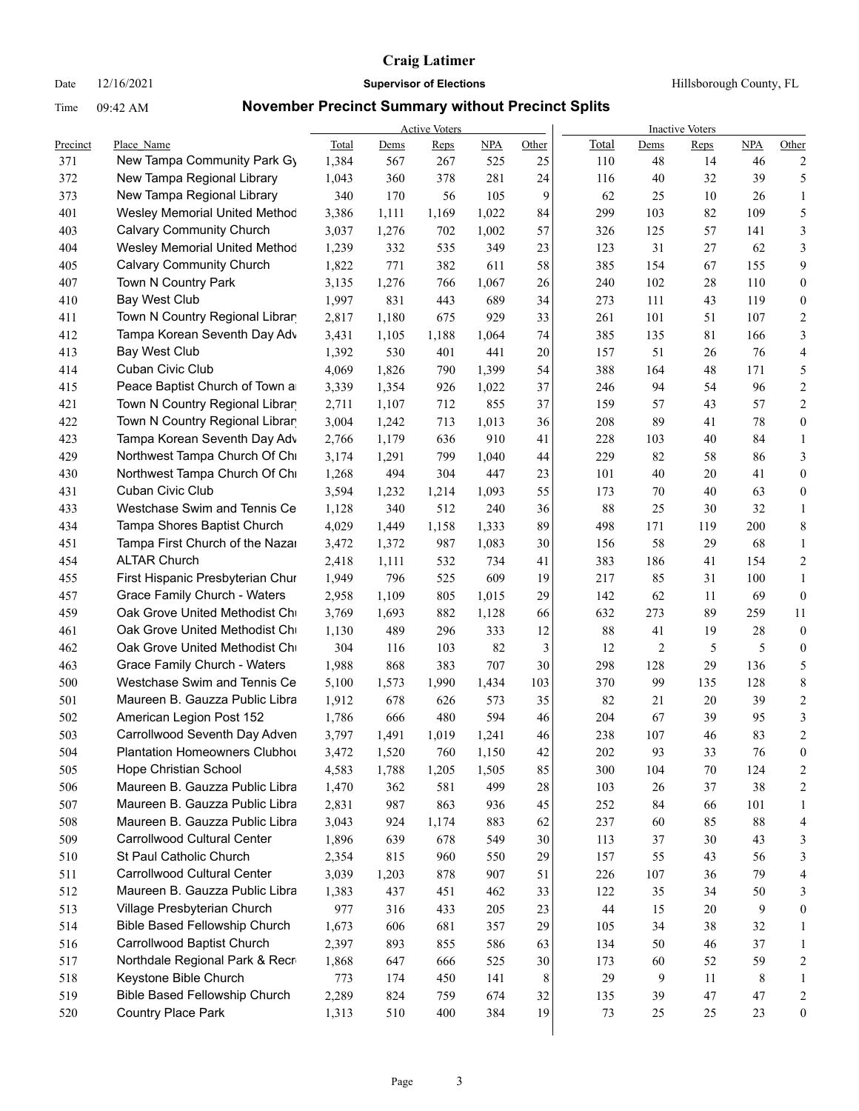Date  $12/16/2021$  **Supervisor of Elections** Hillsborough County, FL

|            |                                  |       |       | <b>Active Voters</b> |       |       | <b>Inactive Voters</b> |                         |      |            |                  |  |
|------------|----------------------------------|-------|-------|----------------------|-------|-------|------------------------|-------------------------|------|------------|------------------|--|
| Precinct   | Place Name                       | Total | Dems  | Reps                 | NPA   | Other | Total                  | Dems                    | Reps | <b>NPA</b> | Other            |  |
| 371        | New Tampa Community Park Gy      | 1,384 | 567   | 267                  | 525   | 25    | 110                    | 48                      | 14   | 46         | 2                |  |
| 372        | New Tampa Regional Library       | 1,043 | 360   | 378                  | 281   | 24    | 116                    | 40                      | 32   | 39         | $\mathfrak s$    |  |
| 373        | New Tampa Regional Library       | 340   | 170   | 56                   | 105   | 9     | 62                     | 25                      | 10   | 26         | 1                |  |
| 401        | Wesley Memorial United Methoc    | 3,386 | 1,111 | 1,169                | 1,022 | 84    | 299                    | 103                     | 82   | 109        | 5                |  |
| 403        | <b>Calvary Community Church</b>  | 3,037 | 1,276 | 702                  | 1,002 | 57    | 326                    | 125                     | 57   | 141        | 3                |  |
| 404        | Wesley Memorial United Methoc    | 1,239 | 332   | 535                  | 349   | 23    | 123                    | 31                      | 27   | 62         | 3                |  |
| 405        | <b>Calvary Community Church</b>  | 1,822 | 771   | 382                  | 611   | 58    | 385                    | 154                     | 67   | 155        | 9                |  |
| 407        | Town N Country Park              | 3,135 | 1,276 | 766                  | 1,067 | 26    | 240                    | 102                     | 28   | 110        | $\boldsymbol{0}$ |  |
| 410        | <b>Bay West Club</b>             | 1,997 | 831   | 443                  | 689   | 34    | 273                    | 111                     | 43   | 119        | $\boldsymbol{0}$ |  |
| 411        | Town N Country Regional Librar   | 2,817 | 1,180 | 675                  | 929   | 33    | 261                    | 101                     | 51   | 107        | $\sqrt{2}$       |  |
| 412        | Tampa Korean Seventh Day Adv     | 3,431 | 1,105 | 1,188                | 1,064 | 74    | 385                    | 135                     | 81   | 166        | $\mathfrak{Z}$   |  |
| 413        | <b>Bay West Club</b>             | 1,392 | 530   | 401                  | 441   | 20    | 157                    | 51                      | 26   | 76         | $\overline{4}$   |  |
| 414        | Cuban Civic Club                 | 4,069 | 1,826 | 790                  | 1,399 | 54    | 388                    | 164                     | 48   | 171        | 5                |  |
| 415        | Peace Baptist Church of Town a   | 3,339 | 1,354 | 926                  | 1,022 | 37    | 246                    | 94                      | 54   | 96         | $\overline{c}$   |  |
| 421        | Town N Country Regional Librar   | 2,711 | 1,107 | 712                  | 855   | 37    | 159                    | 57                      | 43   | 57         | $\sqrt{2}$       |  |
| 422        | Town N Country Regional Librar   | 3,004 | 1,242 | 713                  | 1,013 | 36    | 208                    | 89                      | 41   | $78\,$     | $\boldsymbol{0}$ |  |
| 423        | Tampa Korean Seventh Day Adv     | 2,766 | 1,179 | 636                  | 910   | 41    | 228                    | 103                     | 40   | 84         | $\mathbf{1}$     |  |
| 429        | Northwest Tampa Church Of Ch     | 3,174 | 1,291 | 799                  | 1,040 | 44    | 229                    | 82                      | 58   | 86         | $\mathfrak{Z}$   |  |
| 430        | Northwest Tampa Church Of Ch     | 1,268 | 494   | 304                  | 447   | 23    | 101                    | 40                      | 20   | 41         | $\boldsymbol{0}$ |  |
| 431        | Cuban Civic Club                 | 3,594 | 1,232 | 1,214                | 1,093 | 55    | 173                    | 70                      | 40   | 63         | $\boldsymbol{0}$ |  |
| 433        | Westchase Swim and Tennis Ce     | 1,128 | 340   | 512                  | 240   | 36    | 88                     | 25                      | 30   | 32         | $\mathbf{1}$     |  |
| 434        | Tampa Shores Baptist Church      | 4,029 | 1,449 | 1,158                | 1,333 | 89    | 498                    | 171                     | 119  | 200        | 8                |  |
| 451        | Tampa First Church of the Nazar  | 3,472 | 1,372 | 987                  | 1,083 | 30    | 156                    | 58                      | 29   | 68         | $\mathbf{1}$     |  |
| 454        | <b>ALTAR Church</b>              | 2,418 | 1,111 | 532                  | 734   | 41    | 383                    | 186                     | 41   | 154        | $\overline{2}$   |  |
| 455        | First Hispanic Presbyterian Chur | 1,949 | 796   | 525                  | 609   | 19    | 217                    | 85                      | 31   | 100        | $\mathbf{1}$     |  |
| 457        | Grace Family Church - Waters     | 2,958 | 1,109 | 805                  | 1,015 | 29    | 142                    | 62                      | 11   | 69         | $\boldsymbol{0}$ |  |
| 459        | Oak Grove United Methodist Ch    | 3,769 | 1,693 | 882                  | 1,128 | 66    | 632                    | 273                     | 89   | 259        | 11               |  |
| 461        | Oak Grove United Methodist Ch    | 1,130 | 489   | 296                  | 333   | 12    | 88                     | 41                      | 19   | 28         | $\boldsymbol{0}$ |  |
| 462        | Oak Grove United Methodist Ch    | 304   | 116   | 103                  | 82    | 3     | 12                     | $\overline{\mathbf{c}}$ | 5    | 5          | $\boldsymbol{0}$ |  |
| 463        | Grace Family Church - Waters     | 1,988 | 868   | 383                  | 707   | 30    | 298                    | 128                     | 29   | 136        | 5                |  |
| 500        | Westchase Swim and Tennis Ce     | 5,100 | 1,573 | 1,990                | 1,434 | 103   | 370                    | 99                      | 135  | 128        | $\,$ 8 $\,$      |  |
| 501        | Maureen B. Gauzza Public Libra   | 1,912 | 678   | 626                  | 573   | 35    | 82                     | 21                      | 20   | 39         | $\overline{c}$   |  |
| 502        | American Legion Post 152         | 1,786 | 666   | 480                  | 594   | 46    | 204                    | 67                      | 39   | 95         | 3                |  |
| 503        | Carrollwood Seventh Day Adven    | 3,797 | 1,491 | 1,019                | 1,241 | 46    | 238                    | 107                     | 46   | 83         | $\overline{2}$   |  |
| 504        | Plantation Homeowners Clubhou    | 3,472 | 1,520 | 760                  | 1,150 | 42    | 202                    | 93                      | 33   | 76         | $\boldsymbol{0}$ |  |
| 505        | Hope Christian School            | 4,583 | 1,788 | 1,205                | 1,505 | 85    | 300                    | 104                     | 70   | 124        | 2                |  |
| 506        | Maureen B. Gauzza Public Libra   | 1,470 | 362   | 581                  | 499   | 28    | 103                    | 26                      | 37   | 38         |                  |  |
|            | Maureen B. Gauzza Public Libra   |       |       |                      |       |       |                        | 84                      | 66   |            | 2                |  |
| 507<br>508 | Maureen B. Gauzza Public Libra   | 2,831 | 987   | 863                  | 936   | 45    | 252                    |                         | 85   | 101<br>88  | 1                |  |
| 509        | Carrollwood Cultural Center      | 3,043 | 924   | 1,174                | 883   | 62    | 237                    | 60                      | 30   | 43         | 4                |  |
|            | St Paul Catholic Church          | 1,896 | 639   | 678                  | 549   | 30    | 113                    | 37                      |      |            | $\mathfrak z$    |  |
| 510        | Carrollwood Cultural Center      | 2,354 | 815   | 960                  | 550   | 29    | 157                    | 55                      | 43   | 56         | 3                |  |
| 511        |                                  | 3,039 | 1,203 | 878                  | 907   | 51    | 226                    | 107                     | 36   | 79         | 4                |  |
| 512        | Maureen B. Gauzza Public Libra   | 1,383 | 437   | 451                  | 462   | 33    | 122                    | 35                      | 34   | 50         | $\mathfrak{Z}$   |  |
| 513        | Village Presbyterian Church      | 977   | 316   | 433                  | 205   | 23    | 44                     | 15                      | 20   | 9          | $\boldsymbol{0}$ |  |
| 514        | Bible Based Fellowship Church    | 1,673 | 606   | 681                  | 357   | 29    | 105                    | 34                      | 38   | 32         | $\mathbf{1}$     |  |
| 516        | Carrollwood Baptist Church       | 2,397 | 893   | 855                  | 586   | 63    | 134                    | 50                      | 46   | 37         | $\mathbf{1}$     |  |
| 517        | Northdale Regional Park & Recr   | 1,868 | 647   | 666                  | 525   | 30    | 173                    | 60                      | 52   | 59         | 2                |  |
| 518        | Keystone Bible Church            | 773   | 174   | 450                  | 141   | 8     | 29                     | 9                       | 11   | 8          | $\mathbf{1}$     |  |
| 519        | Bible Based Fellowship Church    | 2,289 | 824   | 759                  | 674   | 32    | 135                    | 39                      | 47   | $47\,$     | 2                |  |
| 520        | Country Place Park               | 1,313 | 510   | 400                  | 384   | 19    | 73                     | 25                      | 25   | 23         | $\boldsymbol{0}$ |  |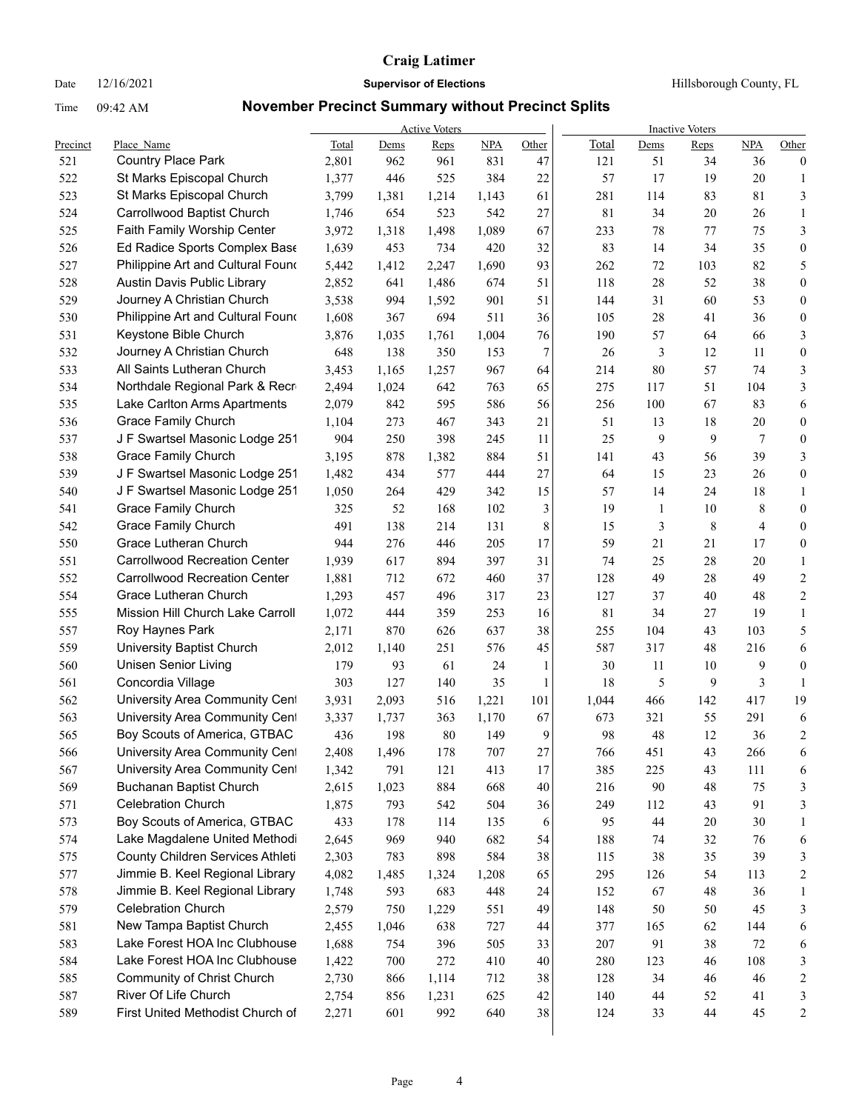## Date  $12/16/2021$  **Supervisor of Elections Hillsborough County, FL**

|          |                                      |       |       | <b>Active Voters</b> |       |       |       |        | <b>Inactive Voters</b> |        |                         |
|----------|--------------------------------------|-------|-------|----------------------|-------|-------|-------|--------|------------------------|--------|-------------------------|
| Precinct | Place Name                           | Total | Dems  | Reps                 | NPA   | Other | Total | Dems   | <b>Reps</b>            | NPA    | Other                   |
| 521      | Country Place Park                   | 2,801 | 962   | 961                  | 831   | 47    | 121   | 51     | 34                     | 36     | $\boldsymbol{0}$        |
| 522      | St Marks Episcopal Church            | 1,377 | 446   | 525                  | 384   | 22    | 57    | 17     | 19                     | 20     | 1                       |
| 523      | St Marks Episcopal Church            | 3,799 | 1,381 | 1,214                | 1,143 | 61    | 281   | 114    | 83                     | 81     | 3                       |
| 524      | Carrollwood Baptist Church           | 1,746 | 654   | 523                  | 542   | 27    | 81    | 34     | 20                     | 26     | $\mathbf{1}$            |
| 525      | Faith Family Worship Center          | 3,972 | 1,318 | 1,498                | 1,089 | 67    | 233   | 78     | 77                     | 75     | 3                       |
| 526      | Ed Radice Sports Complex Base        | 1,639 | 453   | 734                  | 420   | 32    | 83    | 14     | 34                     | 35     | $\boldsymbol{0}$        |
| 527      | Philippine Art and Cultural Found    | 5,442 | 1,412 | 2,247                | 1,690 | 93    | 262   | 72     | 103                    | 82     | 5                       |
| 528      | Austin Davis Public Library          | 2,852 | 641   | 1,486                | 674   | 51    | 118   | $28\,$ | 52                     | 38     | $\boldsymbol{0}$        |
| 529      | Journey A Christian Church           | 3,538 | 994   | 1,592                | 901   | 51    | 144   | 31     | 60                     | 53     | $\boldsymbol{0}$        |
| 530      | Philippine Art and Cultural Found    | 1,608 | 367   | 694                  | 511   | 36    | 105   | $28\,$ | 41                     | 36     | $\boldsymbol{0}$        |
| 531      | Keystone Bible Church                | 3,876 | 1,035 | 1,761                | 1,004 | 76    | 190   | 57     | 64                     | 66     | 3                       |
| 532      | Journey A Christian Church           | 648   | 138   | 350                  | 153   | 7     | 26    | 3      | 12                     | 11     | $\boldsymbol{0}$        |
| 533      | All Saints Lutheran Church           | 3,453 | 1,165 | 1,257                | 967   | 64    | 214   | $80\,$ | 57                     | 74     | 3                       |
| 534      | Northdale Regional Park & Recr       | 2,494 | 1,024 | 642                  | 763   | 65    | 275   | 117    | 51                     | 104    | 3                       |
| 535      | Lake Carlton Arms Apartments         | 2,079 | 842   | 595                  | 586   | 56    | 256   | 100    | 67                     | 83     | 6                       |
| 536      | <b>Grace Family Church</b>           | 1,104 | 273   | 467                  | 343   | 21    | 51    | 13     | 18                     | 20     | $\boldsymbol{0}$        |
| 537      | J F Swartsel Masonic Lodge 251       | 904   | 250   | 398                  | 245   | 11    | 25    | 9      | 9                      | 7      | $\boldsymbol{0}$        |
| 538      | <b>Grace Family Church</b>           | 3,195 | 878   | 1,382                | 884   | 51    | 141   | 43     | 56                     | 39     | 3                       |
| 539      | J F Swartsel Masonic Lodge 251       | 1,482 | 434   | 577                  | 444   | 27    | 64    | 15     | 23                     | 26     | $\boldsymbol{0}$        |
| 540      | J F Swartsel Masonic Lodge 251       | 1,050 | 264   | 429                  | 342   | 15    | 57    | 14     | 24                     | 18     | 1                       |
| 541      | <b>Grace Family Church</b>           | 325   | 52    | 168                  | 102   | 3     | 19    | 1      | 10                     | 8      | $\boldsymbol{0}$        |
| 542      | <b>Grace Family Church</b>           | 491   | 138   | 214                  | 131   | 8     | 15    | 3      | 8                      | 4      | $\boldsymbol{0}$        |
| 550      | Grace Lutheran Church                | 944   | 276   | 446                  | 205   | 17    | 59    | 21     | 21                     | 17     | $\boldsymbol{0}$        |
| 551      | <b>Carrollwood Recreation Center</b> | 1,939 | 617   | 894                  | 397   | 31    | 74    | 25     | 28                     | 20     | $\mathbf{1}$            |
| 552      | <b>Carrollwood Recreation Center</b> | 1,881 | 712   | 672                  | 460   | 37    | 128   | 49     | 28                     | 49     | $\overline{c}$          |
| 554      | Grace Lutheran Church                | 1,293 | 457   | 496                  | 317   | 23    | 127   | 37     | 40                     | 48     | $\overline{c}$          |
| 555      | Mission Hill Church Lake Carroll     | 1,072 | 444   | 359                  | 253   | 16    | 81    | 34     | 27                     | 19     | $\mathbf{1}$            |
| 557      | Roy Haynes Park                      | 2,171 | 870   | 626                  | 637   | 38    | 255   | 104    | 43                     | 103    | 5                       |
| 559      | University Baptist Church            | 2,012 | 1,140 | 251                  | 576   | 45    | 587   | 317    | 48                     | 216    | 6                       |
| 560      | <b>Unisen Senior Living</b>          | 179   | 93    | 61                   | 24    | 1     | 30    | 11     | 10                     | 9      | $\boldsymbol{0}$        |
| 561      | Concordia Village                    | 303   | 127   | 140                  | 35    | 1     | 18    | 5      | 9                      | 3      | $\mathbf{1}$            |
| 562      | University Area Community Cent       | 3,931 | 2,093 | 516                  | 1,221 | 101   | 1,044 | 466    | 142                    | 417    | 19                      |
| 563      | University Area Community Cent       | 3,337 | 1,737 | 363                  | 1,170 | 67    | 673   | 321    | 55                     | 291    | 6                       |
| 565      | Boy Scouts of America, GTBAC         | 436   | 198   | 80                   | 149   | 9     | 98    | 48     | 12                     | 36     | $\overline{c}$          |
| 566      | University Area Community Cent       | 2,408 | 1,496 | 178                  | 707   | 27    | 766   | 451    | 43                     | 266    | 6                       |
| 567      | University Area Community Cent       | 1,342 | 791   | 121                  | 413   | 17    | 385   | 225    | 43                     | 111    | 6                       |
| 569      | Buchanan Baptist Church              | 2,615 | 1,023 | 884                  | 668   | 40    | 216   | 90     | 48                     | 75     | 3                       |
| 571      | <b>Celebration Church</b>            | 1,875 | 793   | 542                  | 504   | 36    | 249   | 112    | 43                     | 91     | 3                       |
| 573      | Boy Scouts of America, GTBAC         | 433   | 178   | 114                  | 135   | 6     | 95    | 44     | 20                     | $30\,$ | 1                       |
| 574      | Lake Magdalene United Methodi        | 2,645 | 969   | 940                  | 682   | 54    | 188   | 74     | 32                     | 76     | 6                       |
| 575      | County Children Services Athleti     | 2,303 | 783   | 898                  | 584   | 38    | 115   | 38     | 35                     | 39     | 3                       |
| 577      | Jimmie B. Keel Regional Library      | 4,082 | 1,485 | 1,324                | 1,208 | 65    | 295   | 126    | 54                     | 113    | 2                       |
| 578      | Jimmie B. Keel Regional Library      | 1,748 | 593   | 683                  | 448   | 24    | 152   | 67     | 48                     | 36     | 1                       |
| 579      | Celebration Church                   | 2,579 | 750   | 1,229                | 551   | 49    | 148   | 50     | 50                     | 45     | 3                       |
| 581      | New Tampa Baptist Church             | 2,455 | 1,046 | 638                  | 727   | 44    | 377   | 165    | 62                     | 144    | 6                       |
| 583      | Lake Forest HOA Inc Clubhouse        | 1,688 | 754   | 396                  | 505   | 33    | 207   | 91     | 38                     | 72     | 6                       |
| 584      | Lake Forest HOA Inc Clubhouse        | 1,422 | 700   | 272                  | 410   | 40    | 280   | 123    | 46                     | 108    | 3                       |
| 585      | Community of Christ Church           | 2,730 | 866   | 1,114                | 712   | 38    | 128   | 34     | 46                     | $46\,$ | $\overline{\mathbf{c}}$ |
| 587      | River Of Life Church                 | 2,754 | 856   | 1,231                | 625   | 42    | 140   | 44     | 52                     | 41     | 3                       |
| 589      | First United Methodist Church of     | 2,271 | 601   | 992                  | 640   | 38    | 124   | 33     | 44                     | 45     | 2                       |
|          |                                      |       |       |                      |       |       |       |        |                        |        |                         |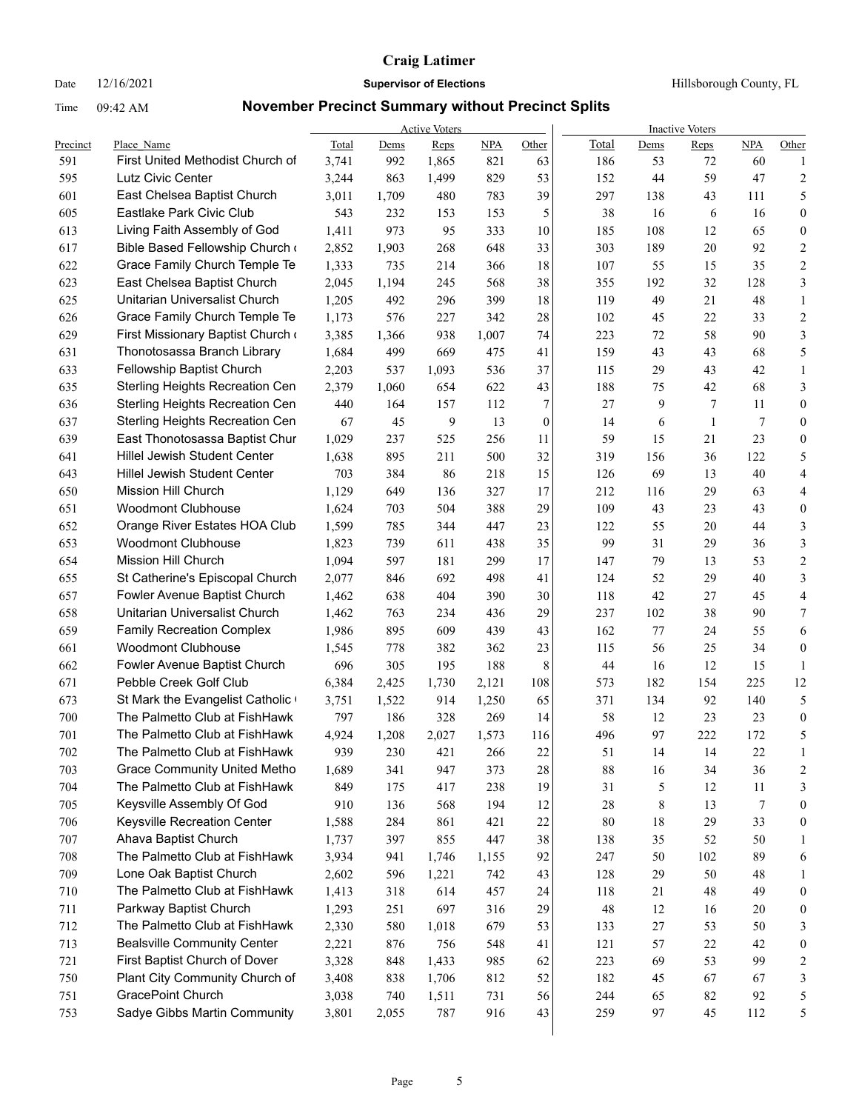## Date  $12/16/2021$  **Supervisor of Elections Hillsborough County, FL**

|          |                                                         |       |       | <b>Active Voters</b> |            |              |        |        | <b>Inactive Voters</b> |            |                         |
|----------|---------------------------------------------------------|-------|-------|----------------------|------------|--------------|--------|--------|------------------------|------------|-------------------------|
| Precinct | Place Name                                              | Total | Dems  | Reps                 | <b>NPA</b> | Other        | Total  | Dems   | Reps                   | <b>NPA</b> | Other                   |
| 591      | First United Methodist Church of                        | 3,741 | 992   | 1,865                | 821        | 63           | 186    | 53     | 72                     | 60         | 1                       |
| 595      | Lutz Civic Center                                       | 3,244 | 863   | 1,499                | 829        | 53           | 152    | 44     | 59                     | 47         | $\overline{c}$          |
| 601      | East Chelsea Baptist Church<br>Eastlake Park Civic Club | 3,011 | 1,709 | 480                  | 783        | 39           | 297    | 138    | 43                     | 111        | 5                       |
| 605      |                                                         | 543   | 232   | 153                  | 153        | 5            | 38     | 16     | 6                      | 16         | $\mathbf{0}$            |
| 613      | Living Faith Assembly of God                            | 1,411 | 973   | 95                   | 333        | 10           | 185    | 108    | 12                     | 65         | $\boldsymbol{0}$        |
| 617      | Bible Based Fellowship Church                           | 2,852 | 1,903 | 268                  | 648        | 33           | 303    | 189    | 20                     | 92         | $\overline{2}$          |
| 622      | Grace Family Church Temple Te                           | 1,333 | 735   | 214                  | 366        | 18           | 107    | 55     | 15                     | 35         | $\sqrt{2}$              |
| 623      | East Chelsea Baptist Church                             | 2,045 | 1,194 | 245                  | 568        | 38           | 355    | 192    | 32                     | 128        | 3                       |
| 625      | Unitarian Universalist Church                           | 1,205 | 492   | 296                  | 399        | 18           | 119    | 49     | 21                     | 48         | $\mathbf{1}$            |
| 626      | Grace Family Church Temple Te                           | 1,173 | 576   | 227                  | 342        | $28\,$       | 102    | 45     | 22                     | 33         | $\overline{2}$          |
| 629      | First Missionary Baptist Church                         | 3,385 | 1,366 | 938                  | 1,007      | 74           | 223    | 72     | 58                     | 90         | 3                       |
| 631      | Thonotosassa Branch Library                             | 1,684 | 499   | 669                  | 475        | 41           | 159    | 43     | 43                     | 68         | 5                       |
| 633      | Fellowship Baptist Church                               | 2,203 | 537   | 1,093                | 536        | 37           | 115    | 29     | 43                     | 42         | $\mathbf{1}$            |
| 635      | Sterling Heights Recreation Cen                         | 2,379 | 1,060 | 654                  | 622        | 43           | 188    | 75     | 42                     | 68         | 3                       |
| 636      | Sterling Heights Recreation Cen                         | 440   | 164   | 157                  | 112        | 7            | 27     | 9      | 7                      | 11         | $\boldsymbol{0}$        |
| 637      | Sterling Heights Recreation Cen                         | 67    | 45    | 9                    | 13         | $\mathbf{0}$ | 14     | 6      | $\mathbf{1}$           | 7          | $\mathbf{0}$            |
| 639      | East Thonotosassa Baptist Chur                          | 1,029 | 237   | 525                  | 256        | 11           | 59     | 15     | 21                     | 23         | $\boldsymbol{0}$        |
| 641      | <b>Hillel Jewish Student Center</b>                     | 1,638 | 895   | 211                  | 500        | 32           | 319    | 156    | 36                     | 122        | 5                       |
| 643      | Hillel Jewish Student Center                            | 703   | 384   | 86                   | 218        | 15           | 126    | 69     | 13                     | 40         | 4                       |
| 650      | Mission Hill Church                                     | 1,129 | 649   | 136                  | 327        | 17           | 212    | 116    | 29                     | 63         | 4                       |
| 651      | <b>Woodmont Clubhouse</b>                               | 1,624 | 703   | 504                  | 388        | 29           | 109    | 43     | 23                     | 43         | $\mathbf{0}$            |
| 652      | Orange River Estates HOA Club                           | 1,599 | 785   | 344                  | 447        | 23           | 122    | 55     | 20                     | 44         | 3                       |
| 653      | <b>Woodmont Clubhouse</b>                               | 1,823 | 739   | 611                  | 438        | 35           | 99     | 31     | 29                     | 36         | 3                       |
| 654      | <b>Mission Hill Church</b>                              | 1,094 | 597   | 181                  | 299        | 17           | 147    | 79     | 13                     | 53         | $\overline{2}$          |
| 655      | St Catherine's Episcopal Church                         | 2,077 | 846   | 692                  | 498        | 41           | 124    | 52     | 29                     | 40         | 3                       |
| 657      | Fowler Avenue Baptist Church                            | 1,462 | 638   | 404                  | 390        | 30           | 118    | 42     | 27                     | 45         | $\overline{4}$          |
| 658      | Unitarian Universalist Church                           | 1,462 | 763   | 234                  | 436        | 29           | 237    | 102    | 38                     | 90         | $\tau$                  |
| 659      | <b>Family Recreation Complex</b>                        | 1,986 | 895   | 609                  | 439        | 43           | 162    | 77     | 24                     | 55         | 6                       |
| 661      | <b>Woodmont Clubhouse</b>                               | 1,545 | 778   | 382                  | 362        | 23           | 115    | 56     | 25                     | 34         | $\boldsymbol{0}$        |
| 662      | Fowler Avenue Baptist Church                            | 696   | 305   | 195                  | 188        | 8            | 44     | 16     | 12                     | 15         | $\mathbf{1}$            |
| 671      | Pebble Creek Golf Club                                  | 6,384 | 2,425 | 1,730                | 2,121      | 108          | 573    | 182    | 154                    | 225        | 12                      |
| 673      | St Mark the Evangelist Catholic                         | 3,751 | 1,522 | 914                  | 1,250      | 65           | 371    | 134    | 92                     | 140        | 5                       |
| 700      | The Palmetto Club at FishHawk                           | 797   | 186   | 328                  | 269        | 14           | 58     | 12     | 23                     | 23         | $\boldsymbol{0}$        |
| 701      | The Palmetto Club at FishHawk                           | 4,924 | 1,208 | 2,027                | 1,573      | 116          | 496    | 97     | 222                    | 172        | 5                       |
| 702      | The Palmetto Club at FishHawk                           | 939   | 230   | 421                  | 266        | 22           | 51     | 14     | 14                     | 22         | -1                      |
| 703      | <b>Grace Community United Metho</b>                     | 1,689 | 341   | 947                  | 373        | 28           | 88     | 16     | 34                     | 36         | $\overline{c}$          |
| 704      | The Palmetto Club at FishHawk                           | 849   | 175   | 417                  | 238        | 19           | 31     | 5      | 12                     | 11         | 3                       |
| 705      | Keysville Assembly Of God                               | 910   | 136   | 568                  | 194        | 12           | 28     | 8      | 13                     | 7          | $\boldsymbol{0}$        |
| 706      | Keysville Recreation Center                             | 1,588 | 284   | 861                  | 421        | 22           | $80\,$ | 18     | 29                     | 33         | $\boldsymbol{0}$        |
| 707      | Ahava Baptist Church                                    | 1,737 | 397   | 855                  | 447        | 38           | 138    | 35     | 52                     | 50         | 1                       |
| 708      | The Palmetto Club at FishHawk                           | 3,934 | 941   | 1,746                | 1,155      | 92           | 247    | 50     | 102                    | 89         | 6                       |
| 709      | Lone Oak Baptist Church                                 | 2,602 | 596   | 1,221                | 742        | 43           | 128    | 29     | 50                     | 48         | 1                       |
| 710      | The Palmetto Club at FishHawk                           | 1,413 | 318   | 614                  | 457        | 24           | 118    | 21     | 48                     | 49         | $\boldsymbol{0}$        |
| 711      | Parkway Baptist Church                                  | 1,293 | 251   | 697                  | 316        | 29           | 48     | 12     | 16                     | $20\,$     | $\boldsymbol{0}$        |
| 712      | The Palmetto Club at FishHawk                           | 2,330 | 580   | 1,018                | 679        | 53           | 133    | $27\,$ | 53                     | 50         | 3                       |
| 713      | <b>Bealsville Community Center</b>                      | 2,221 | 876   | 756                  | 548        | 41           | 121    | 57     | 22                     | 42         | $\boldsymbol{0}$        |
| 721      | First Baptist Church of Dover                           | 3,328 | 848   | 1,433                | 985        | 62           | 223    | 69     | 53                     | 99         | $\overline{\mathbf{c}}$ |
| 750      | Plant City Community Church of                          | 3,408 | 838   | 1,706                | 812        | 52           | 182    | 45     | 67                     | 67         | 3                       |
| 751      | GracePoint Church                                       | 3,038 | 740   | 1,511                | 731        | 56           | 244    | 65     | 82                     | 92         | 5                       |
| 753      | Sadye Gibbs Martin Community                            | 3,801 | 2,055 | 787                  | 916        | 43           | 259    | 97     | 45                     | 112        | 5                       |
|          |                                                         |       |       |                      |            |              |        |        |                        |            |                         |
|          |                                                         |       |       |                      |            |              |        |        |                        |            |                         |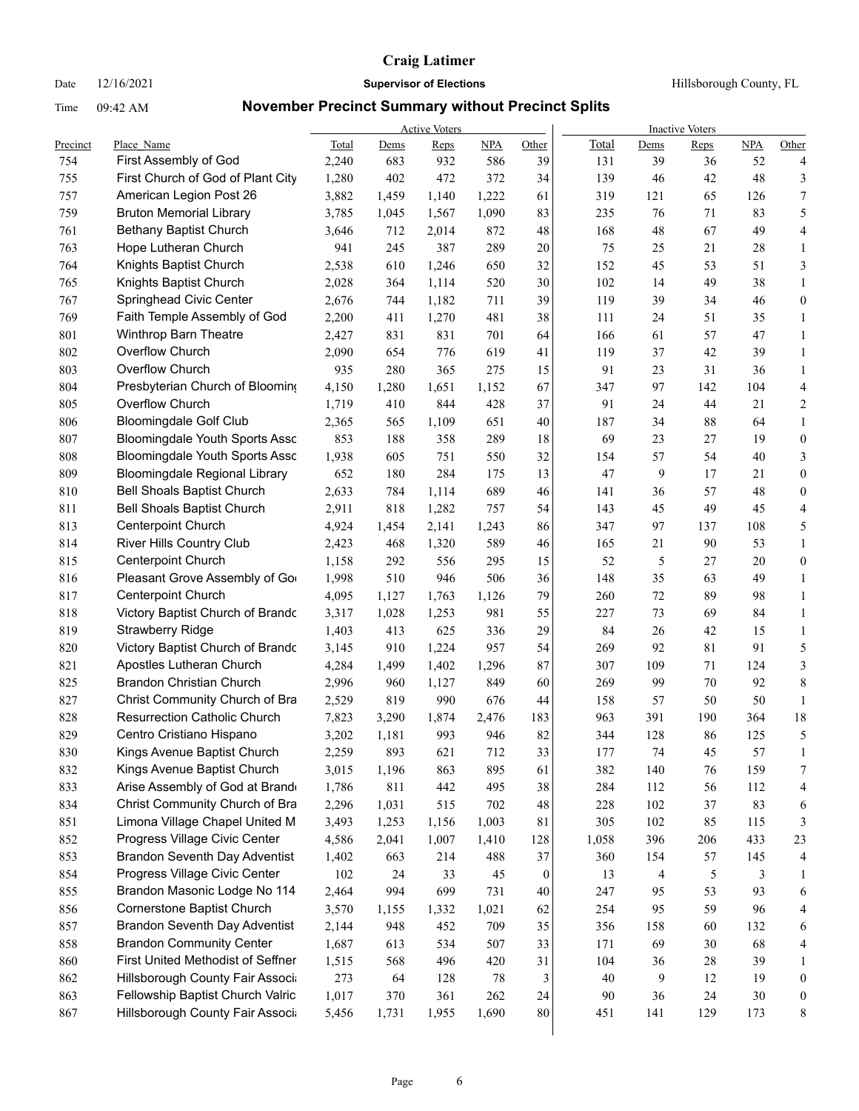## Date  $12/16/2021$  **Supervisor of Elections Hillsborough County, FL**

|            |                                                           |       |       | <b>Active Voters</b> |       |          |            |           | <b>Inactive Voters</b> |            |                  |
|------------|-----------------------------------------------------------|-------|-------|----------------------|-------|----------|------------|-----------|------------------------|------------|------------------|
| Precinct   | Place Name                                                | Total | Dems  | Reps                 | NPA   | Other    | Total      | Dems      | Reps                   | <b>NPA</b> | Other            |
| 754        | First Assembly of God                                     | 2,240 | 683   | 932                  | 586   | 39       | 131        | 39        | 36                     | 52         | 4                |
| 755        | First Church of God of Plant City                         | 1,280 | 402   | 472                  | 372   | 34       | 139        | 46        | 42                     | 48         | 3                |
| 757<br>759 | American Legion Post 26<br><b>Bruton Memorial Library</b> | 3,882 | 1,459 | 1,140                | 1,222 | 61       | 319<br>235 | 121<br>76 | 65<br>71               | 126<br>83  | $\tau$           |
|            |                                                           | 3,785 | 1,045 | 1,567                | 1,090 | 83       |            |           |                        |            | 5                |
| 761        | Bethany Baptist Church                                    | 3,646 | 712   | 2,014                | 872   | 48       | 168        | 48        | 67                     | 49         | 4                |
| 763        | Hope Lutheran Church                                      | 941   | 245   | 387                  | 289   | 20       | 75         | 25        | 21                     | 28         | 1                |
| 764        | Knights Baptist Church                                    | 2,538 | 610   | 1,246                | 650   | 32       | 152        | 45        | 53                     | 51         | 3                |
| 765        | Knights Baptist Church                                    | 2,028 | 364   | 1,114                | 520   | 30       | 102        | 14        | 49                     | 38         | $\mathbf{1}$     |
| 767        | Springhead Civic Center                                   | 2,676 | 744   | 1,182                | 711   | 39       | 119        | 39        | 34                     | 46         | $\boldsymbol{0}$ |
| 769        | Faith Temple Assembly of God                              | 2,200 | 411   | 1,270                | 481   | 38       | 111        | 24        | 51                     | 35         | $\mathbf{1}$     |
| 801        | Winthrop Barn Theatre                                     | 2,427 | 831   | 831                  | 701   | 64       | 166        | 61        | 57                     | 47         | 1                |
| 802        | Overflow Church                                           | 2,090 | 654   | 776                  | 619   | 41       | 119        | 37        | 42                     | 39         | 1                |
| 803        | Overflow Church                                           | 935   | 280   | 365                  | 275   | 15       | 91         | 23        | 31                     | 36         | 1                |
| 804        | Presbyterian Church of Blooming                           | 4,150 | 1,280 | 1,651                | 1,152 | 67       | 347        | 97        | 142                    | 104        | $\overline{4}$   |
| 805        | Overflow Church                                           | 1,719 | 410   | 844                  | 428   | 37       | 91         | 24        | 44                     | 21         | $\overline{c}$   |
| 806        | <b>Bloomingdale Golf Club</b>                             | 2,365 | 565   | 1,109                | 651   | 40       | 187        | 34        | 88                     | 64         | $\mathbf{1}$     |
| 807        | Bloomingdale Youth Sports Assc                            | 853   | 188   | 358                  | 289   | 18       | 69         | 23        | 27                     | 19         | $\boldsymbol{0}$ |
| 808        | <b>Bloomingdale Youth Sports Assc</b>                     | 1,938 | 605   | 751                  | 550   | 32       | 154        | 57        | 54                     | 40         | 3                |
| 809        | Bloomingdale Regional Library                             | 652   | 180   | 284                  | 175   | 13       | 47         | 9         | 17                     | 21         | $\boldsymbol{0}$ |
| 810        | <b>Bell Shoals Baptist Church</b>                         | 2,633 | 784   | 1,114                | 689   | 46       | 141        | 36        | 57                     | 48         | $\boldsymbol{0}$ |
| 811        | <b>Bell Shoals Baptist Church</b>                         | 2,911 | 818   | 1,282                | 757   | 54       | 143        | 45        | 49                     | 45         | 4                |
| 813        | <b>Centerpoint Church</b>                                 | 4,924 | 1,454 | 2,141                | 1,243 | 86       | 347        | 97        | 137                    | 108        | 5                |
| 814        | River Hills Country Club                                  | 2,423 | 468   | 1,320                | 589   | 46       | 165        | 21        | 90                     | 53         | $\mathbf{1}$     |
| 815        | <b>Centerpoint Church</b>                                 | 1,158 | 292   | 556                  | 295   | 15       | 52         | 5         | 27                     | 20         | $\boldsymbol{0}$ |
| 816        | Pleasant Grove Assembly of Go                             | 1,998 | 510   | 946                  | 506   | 36       | 148        | 35        | 63                     | 49         | $\mathbf{1}$     |
| 817        | <b>Centerpoint Church</b>                                 | 4,095 | 1,127 | 1,763                | 1,126 | 79       | 260        | 72        | 89                     | 98         | 1                |
| 818        | Victory Baptist Church of Brando                          | 3,317 | 1,028 | 1,253                | 981   | 55       | 227        | 73        | 69                     | 84         | 1                |
| 819        | <b>Strawberry Ridge</b>                                   | 1,403 | 413   | 625                  | 336   | 29       | 84         | 26        | 42                     | 15         | $\mathbf{1}$     |
| 820        | Victory Baptist Church of Brando                          | 3,145 | 910   | 1,224                | 957   | 54       | 269        | 92        | 81                     | 91         | 5                |
| 821        | Apostles Lutheran Church                                  | 4,284 | 1,499 | 1,402                | 1,296 | 87       | 307        | 109       | 71                     | 124        | $\mathfrak{Z}$   |
| 825        | <b>Brandon Christian Church</b>                           | 2,996 | 960   | 1,127                | 849   | 60       | 269        | 99        | 70                     | 92         | $\,$ $\,$        |
| 827        | Christ Community Church of Bra                            | 2,529 | 819   | 990                  | 676   | 44       | 158        | 57        | 50                     | 50         | $\mathbf{1}$     |
| 828        | <b>Resurrection Catholic Church</b>                       | 7,823 | 3,290 | 1,874                | 2,476 | 183      | 963        | 391       | 190                    | 364        | 18               |
| 829        | Centro Cristiano Hispano                                  | 3,202 | 1,181 | 993                  | 946   | 82       | 344        | 128       | 86                     | 125        | 5                |
| 830        | Kings Avenue Baptist Church                               | 2,259 | 893   | 621                  | 712   | 33       | 177        | 74        | 45                     | 57         | -1               |
| 832        | Kings Avenue Baptist Church                               | 3,015 | 1,196 | 863                  | 895   | 61       | 382        | 140       | 76                     | 159        | 7                |
| 833        | Arise Assembly of God at Brand                            | 1,786 | 811   | 442                  | 495   | 38       | 284        | 112       | 56                     | 112        | 4                |
| 834        | Christ Community Church of Bra                            | 2,296 | 1,031 | 515                  | 702   | 48       | 228        | 102       | 37                     | 83         | 6                |
| 851        | Limona Village Chapel United M                            | 3,493 | 1,253 | 1,156                | 1,003 | 81       | 305        | 102       | 85                     | 115        | 3                |
| 852        | Progress Village Civic Center                             | 4,586 | 2,041 | 1,007                | 1,410 | 128      | 1,058      | 396       | 206                    | 433        | 23               |
| 853        | <b>Brandon Seventh Day Adventist</b>                      | 1,402 | 663   | 214                  | 488   | $37\,$   | 360        | 154       | 57                     | 145        | 4                |
| 854        | Progress Village Civic Center                             | 102   | 24    | 33                   | 45    | $\bf{0}$ | 13         | 4         | 5                      | 3          | 1                |
| 855        | Brandon Masonic Lodge No 114                              | 2,464 | 994   | 699                  | 731   | 40       | 247        | 95        | 53                     | 93         | 6                |
| 856        | Cornerstone Baptist Church                                | 3,570 | 1,155 | 1,332                | 1,021 | 62       | 254        | 95        | 59                     | 96         | 4                |
| 857        | <b>Brandon Seventh Day Adventist</b>                      | 2,144 | 948   | 452                  | 709   | 35       | 356        | 158       | 60                     | 132        | 6                |
| 858        | <b>Brandon Community Center</b>                           | 1,687 | 613   | 534                  | 507   | 33       | 171        | 69        | 30                     | 68         | 4                |
| 860        | First United Methodist of Seffner                         | 1,515 | 568   | 496                  | 420   | 31       | 104        | 36        | 28                     | 39         | $\mathbf{1}$     |
| 862        | Hillsborough County Fair Associ                           | 273   | 64    | 128                  | 78    | 3        | 40         | 9         | 12                     | 19         | $\boldsymbol{0}$ |
| 863        | Fellowship Baptist Church Valric                          | 1,017 | 370   | 361                  | 262   | 24       | 90         | 36        | 24                     | $30\,$     | $\boldsymbol{0}$ |
| 867        | Hillsborough County Fair Associ                           | 5,456 | 1,731 | 1,955                | 1,690 | 80       | 451        | 141       | 129                    | 173        | 8                |
|            |                                                           |       |       |                      |       |          |            |           |                        |            |                  |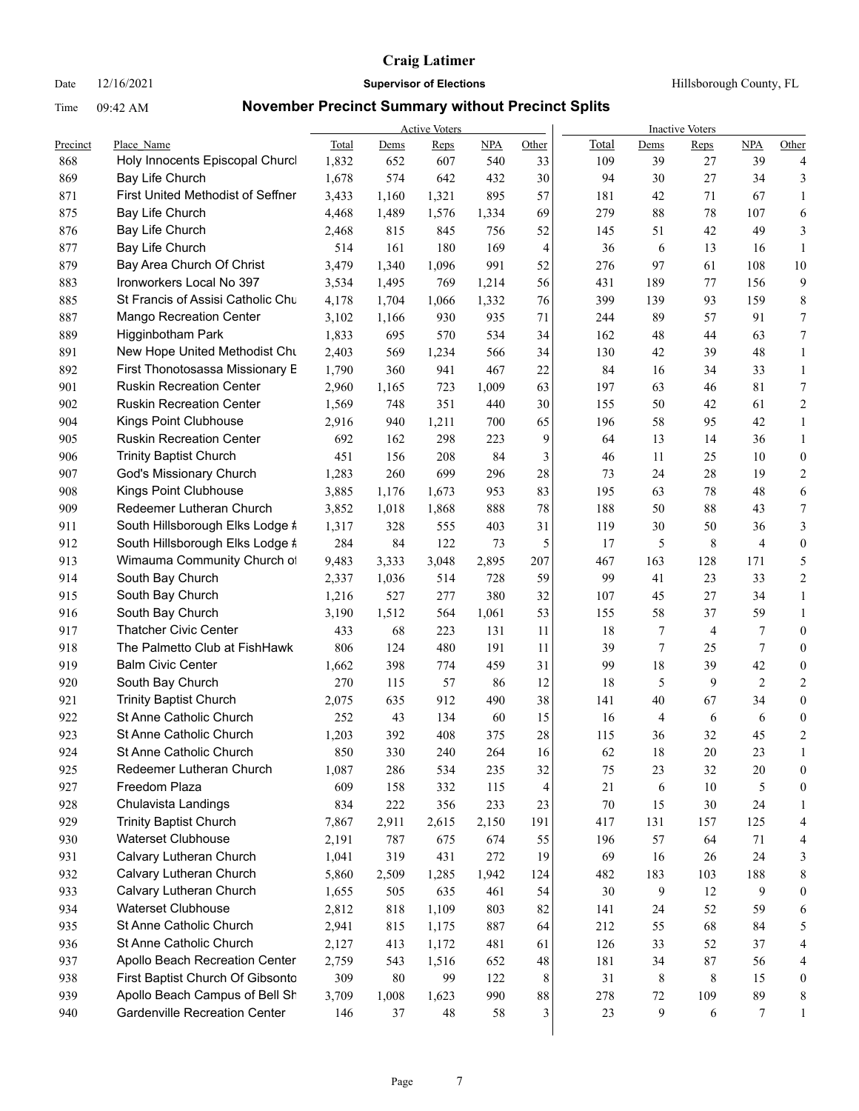Date  $12/16/2021$  **Supervisor of Elections Hillsborough County, FL** 

|            |                                                             |       |       | <b>Active Voters</b> |            |          | <b>Inactive Voters</b> |              |                |           |                  |  |  |
|------------|-------------------------------------------------------------|-------|-------|----------------------|------------|----------|------------------------|--------------|----------------|-----------|------------------|--|--|
| Precinct   | Place Name                                                  | Total | Dems  | Reps                 | <b>NPA</b> | Other    | Total                  | Dems         | Reps           | NPA       | Other            |  |  |
| 868        | Holy Innocents Episcopal Churcl                             | 1,832 | 652   | 607                  | 540        | 33       | 109                    | 39           | 27             | 39        | 4                |  |  |
| 869        | Bay Life Church<br><b>First United Methodist of Seffner</b> | 1,678 | 574   | 642                  | 432        | 30       | 94                     | 30           | 27             | 34        | 3                |  |  |
| 871<br>875 | Bay Life Church                                             | 3,433 | 1,160 | 1,321                | 895        | 57<br>69 | 181<br>279             | 42<br>$88\,$ | 71<br>78       | 67<br>107 | $\mathbf{1}$     |  |  |
|            |                                                             | 4,468 | 1,489 | 1,576                | 1,334      |          |                        |              |                |           | 6                |  |  |
| 876        | Bay Life Church                                             | 2,468 | 815   | 845                  | 756        | 52       | 145                    | 51           | 42             | 49        | 3                |  |  |
| 877        | Bay Life Church                                             | 514   | 161   | 180                  | 169        | 4        | 36                     | 6            | 13             | 16        | $\mathbf{1}$     |  |  |
| 879        | Bay Area Church Of Christ                                   | 3,479 | 1,340 | 1,096                | 991        | 52       | 276                    | 97           | 61             | 108       | 10               |  |  |
| 883        | Ironworkers Local No 397                                    | 3,534 | 1,495 | 769                  | 1,214      | 56       | 431                    | 189          | 77             | 156       | 9                |  |  |
| 885        | St Francis of Assisi Catholic Chu                           | 4,178 | 1,704 | 1,066                | 1,332      | 76       | 399                    | 139          | 93             | 159       | 8                |  |  |
| 887        | <b>Mango Recreation Center</b>                              | 3,102 | 1,166 | 930                  | 935        | 71       | 244                    | 89           | 57             | 91        | 7                |  |  |
| 889        | Higginbotham Park                                           | 1,833 | 695   | 570                  | 534        | 34       | 162                    | $48\,$       | 44             | 63        | 7                |  |  |
| 891        | New Hope United Methodist Chu                               | 2,403 | 569   | 1,234                | 566        | 34       | 130                    | 42           | 39             | 48        | $\mathbf{1}$     |  |  |
| 892        | First Thonotosassa Missionary E                             | 1,790 | 360   | 941                  | 467        | 22       | 84                     | 16           | 34             | 33        | $\mathbf{1}$     |  |  |
| 901        | <b>Ruskin Recreation Center</b>                             | 2,960 | 1,165 | 723                  | 1,009      | 63       | 197                    | 63           | 46             | 81        | 7                |  |  |
| 902        | <b>Ruskin Recreation Center</b>                             | 1,569 | 748   | 351                  | 440        | 30       | 155                    | 50           | 42             | 61        | 2                |  |  |
| 904        | Kings Point Clubhouse                                       | 2,916 | 940   | 1,211                | 700        | 65       | 196                    | 58           | 95             | 42        | $\mathbf{1}$     |  |  |
| 905        | <b>Ruskin Recreation Center</b>                             | 692   | 162   | 298                  | 223        | 9        | 64                     | 13           | 14             | 36        | $\mathbf{1}$     |  |  |
| 906        | <b>Trinity Baptist Church</b>                               | 451   | 156   | 208                  | 84         | 3        | 46                     | 11           | 25             | 10        | $\boldsymbol{0}$ |  |  |
| 907        | God's Missionary Church                                     | 1,283 | 260   | 699                  | 296        | 28       | 73                     | 24           | 28             | 19        | 2                |  |  |
| 908        | Kings Point Clubhouse                                       | 3,885 | 1,176 | 1,673                | 953        | 83       | 195                    | 63           | 78             | 48        | 6                |  |  |
| 909        | Redeemer Lutheran Church                                    | 3,852 | 1,018 | 1,868                | 888        | 78       | 188                    | 50           | 88             | 43        | 7                |  |  |
| 911        | South Hillsborough Elks Lodge #                             | 1,317 | 328   | 555                  | 403        | 31       | 119                    | 30           | 50             | 36        | 3                |  |  |
| 912        | South Hillsborough Elks Lodge #                             | 284   | 84    | 122                  | 73         | 5        | 17                     | 5            | 8              | 4         | $\boldsymbol{0}$ |  |  |
| 913        | Wimauma Community Church of                                 | 9,483 | 3,333 | 3,048                | 2,895      | 207      | 467                    | 163          | 128            | 171       | 5                |  |  |
| 914        | South Bay Church                                            | 2,337 | 1,036 | 514                  | 728        | 59       | 99                     | 41           | 23             | 33        | $\overline{c}$   |  |  |
| 915        | South Bay Church                                            | 1,216 | 527   | 277                  | 380        | 32       | 107                    | 45           | 27             | 34        | $\mathbf{1}$     |  |  |
| 916        | South Bay Church                                            | 3,190 | 1,512 | 564                  | 1,061      | 53       | 155                    | 58           | 37             | 59        | $\mathbf{1}$     |  |  |
| 917        | <b>Thatcher Civic Center</b>                                | 433   | 68    | 223                  | 131        | 11       | 18                     | 7            | $\overline{4}$ | 7         | $\boldsymbol{0}$ |  |  |
| 918        | The Palmetto Club at FishHawk                               | 806   | 124   | 480                  | 191        | 11       | 39                     | 7            | 25             | 7         | $\boldsymbol{0}$ |  |  |
| 919        | <b>Balm Civic Center</b>                                    | 1,662 | 398   | 774                  | 459        | 31       | 99                     | 18           | 39             | 42        | $\boldsymbol{0}$ |  |  |
| 920        | South Bay Church                                            | 270   | 115   | 57                   | 86         | 12       | 18                     | 5            | 9              | 2         | 2                |  |  |
| 921        | <b>Trinity Baptist Church</b>                               | 2,075 | 635   | 912                  | 490        | 38       | 141                    | 40           | 67             | 34        | $\boldsymbol{0}$ |  |  |
| 922        | St Anne Catholic Church                                     | 252   | 43    | 134                  | 60         | 15       | 16                     | 4            | 6              | 6         | $\boldsymbol{0}$ |  |  |
| 923        | St Anne Catholic Church                                     | 1,203 | 392   | 408                  | 375        | 28       | 115                    | 36           | 32             | 45        | $\overline{c}$   |  |  |
| 924        | St Anne Catholic Church                                     | 850   | 330   | 240                  | 264        | 16       | 62                     | 18           | $20\,$         | 23        | $\mathbf{1}$     |  |  |
| 925        | Redeemer Lutheran Church                                    | 1,087 | 286   | 534                  | 235        | 32       | 75                     | 23           | 32             | $20\,$    | 0                |  |  |
| 927        | Freedom Plaza                                               | 609   | 158   | 332                  | 115        | 4        | 21                     | 6            | $10\,$         | 5         | $\boldsymbol{0}$ |  |  |
| 928        | Chulavista Landings                                         | 834   | 222   | 356                  | 233        | 23       | $70\,$                 | 15           | $30\,$         | 24        | 1                |  |  |
| 929        | <b>Trinity Baptist Church</b>                               | 7,867 | 2,911 | 2,615                | 2,150      | 191      | 417                    | 131          | 157            | 125       | 4                |  |  |
| 930        | Waterset Clubhouse                                          | 2,191 | 787   | 675                  | 674        | 55       | 196                    | 57           | 64             | 71        | 4                |  |  |
| 931        | Calvary Lutheran Church                                     | 1,041 | 319   | 431                  | 272        | 19       | 69                     | 16           | 26             | 24        | 3                |  |  |
| 932        | Calvary Lutheran Church                                     | 5,860 | 2,509 | 1,285                | 1,942      | 124      | 482                    | 183          | 103            | 188       | 8                |  |  |
| 933        | Calvary Lutheran Church                                     | 1,655 | 505   | 635                  | 461        | 54       | 30                     | 9            | 12             | 9         | $\boldsymbol{0}$ |  |  |
| 934        | Waterset Clubhouse                                          | 2,812 | 818   | 1,109                | 803        | 82       | 141                    | 24           | 52             | 59        | 6                |  |  |
| 935        | St Anne Catholic Church                                     | 2,941 | 815   | 1,175                | 887        | 64       | 212                    | 55           | 68             | 84        | 5                |  |  |
| 936        | St Anne Catholic Church                                     | 2,127 | 413   | 1,172                | 481        | 61       | 126                    | 33           | 52             | 37        | 4                |  |  |
| 937        | Apollo Beach Recreation Center                              | 2,759 | 543   | 1,516                | 652        | 48       | 181                    | 34           | 87             | 56        | 4                |  |  |
| 938        | First Baptist Church Of Gibsontc                            | 309   | 80    | 99                   | 122        | 8        | 31                     | 8            | 8              | 15        | $\boldsymbol{0}$ |  |  |
| 939        | Apollo Beach Campus of Bell Sh                              | 3,709 | 1,008 | 1,623                | 990        | 88       | 278                    | $72\,$       | 109            | 89        | 8                |  |  |
| 940        | Gardenville Recreation Center                               | 146   | 37    | $48\,$               | 58         | 3        | 23                     | 9            | 6              | 7         | $\mathbf{1}$     |  |  |